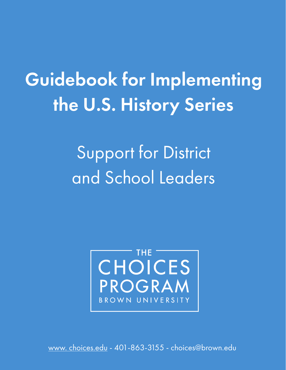# Guidebook for Implementing the U.S. History Series

Support for District and School Leaders



[www. choices.edu -](https://www.choices.edu/) 401-863-3155 - choices@brown.edu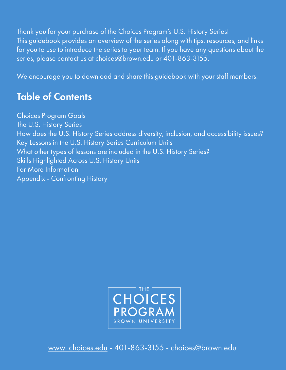Thank you for your purchase of the Choices Program's U.S. History Series! This guidebook provides an overview of the series along with tips, resources, and links for you to use to introduce the series to your team. If you have any questions about the series, please contact us at choices@brown.edu or 401-863-3155.

We encourage you to download and share this guidebook with your staff members.

# Table of Contents

Choices Program Goals The U.S. History Series How does the U.S. History Series address diversity, inclusion, and accessibility issues? Key Lessons in the U.S. History Series Curriculum Units What other types of lessons are included in the U.S. History Series? Skills Highlighted Across U.S. History Units For More Information Appendix - Confronting History



[www. choices.edu -](https://www.choices.edu/) 401-863-3155 - choices@brown.edu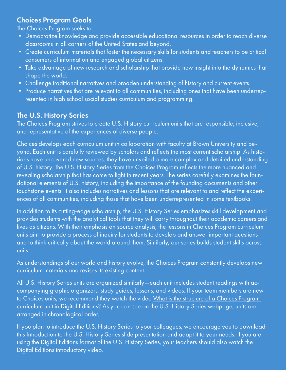# Choices Program Goals

The Choices Program seeks to:

- Democratize knowledge and provide accessible educational resources in order to reach diverse classrooms in all corners of the United States and beyond.
- Create curriculum materials that foster the necessary skills for students and teachers to be critical consumers of information and engaged global citizens.
- Take advantage of new research and scholarship that provide new insight into the dynamics that shape the world.
- Challenge traditional narratives and broaden understanding of history and current events.
- Produce narratives that are relevant to all communities, including ones that have been underrepresented in high school social studies curriculum and programming.

# The U.S. History Series

The Choices Program strives to create U.S. History curriculum units that are responsible, inclusive, and representative of the experiences of diverse people.

Choices develops each curriculum unit in collaboration with faculty at Brown University and beyond. Each unit is carefully reviewed by scholars and reflects the most current scholarship. As historians have uncovered new sources, they have unveiled a more complex and detailed understanding of U.S. history. The U.S. History Series from the Choices Program reflects the more nuanced and revealing scholarship that has come to light in recent years. The series carefully examines the foundational elements of U.S. history, including the importance of the founding documents and other touchstone events. It also includes narratives and lessons that are relevant to and reflect the experiences of all communities, including those that have been underrepresented in some textbooks.

In addition to its cutting-edge scholarship, the U.S. History Series emphasizes skill development and provides students with the analytical tools that they will carry throughout their academic careers and lives as citizens. With their emphasis on source analysis, the lessons in Choices Program curriculum units aim to provide a process of inquiry for students to develop and answer important questions and to think critically about the world around them. Similarly, our series builds student skills across units.

As understandings of our world and history evolve, the Choices Program constantly develops new curriculum materials and revises its existing content.

All U.S. History Series units are organized similarly—each unit includes student readings with accompanying graphic organizers, study guides, lessons, and videos. If your team members are new to Choices units, we recommend they watch the video What is the structure of a Choices Program [curriculum unit in Digital Editions?](https://vimeo.com/513571441) As you can see on th[e U.S. History Series w](https://www.choices.edu/curriculum-series/u-s-history/)ebpage, units are arranged in chronological order.

If you plan to introduce the U.S. History Series to your colleagues, we encourage you to download this [Introduction to the U.S. History Series](https://drive.google.com/file/d/1RwzghbSYfeyQwP9FjaarHwtwnnr-Tm3v/view) slide presentation and adapt it to your needs. If you are using the Digital Editions format of the U.S. History Series, your teachers should also watch the [Digital Editions introductory video](https://vimeo.com/251346049).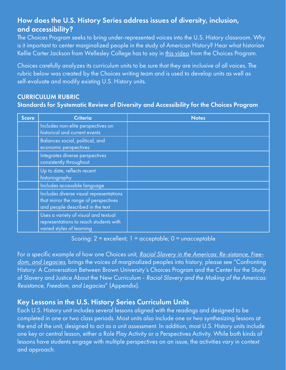# How does the U.S. History Series address issues of diversity, inclusion, and accessibility?

The Choices Program seeks to bring under-represented voices into the U.S. History classroom. Why is it important to center marginalized people in the study of American History? Hear what historian Kellie Carter Jackson from Wellesley College has to say in [this video](https://www.youtube.com/watch?v=a82CXpI0Hek) from the Choices Program.

Choices carefully analyzes its curriculum units to be sure that they are inclusive of all voices. The rubric below was created by the Choices writing team and is used to develop units as well as self-evaluate and modify existing U.S. History units.

# CURRICULUM RUBRIC Standards for Systematic Review of Diversity and Accessibility for the Choices Program

| <b>Score</b> | <b>Criteria</b>                                                                                                      | <b>Notes</b> |
|--------------|----------------------------------------------------------------------------------------------------------------------|--------------|
|              | Includes non-elite perspectives on<br>historical and current events                                                  |              |
|              | Balances social, political, and<br>economic perspectives                                                             |              |
|              | Integrates diverse perspectives<br>consistently throughout                                                           |              |
|              | Up to date, reflects recent<br>historiography                                                                        |              |
|              | Includes accessible language                                                                                         |              |
|              | Includes diverse visual representations<br>that mirror the range of perspectives<br>and people described in the text |              |
|              | Uses a variety of visual and textual<br>representations to reach students with<br>varied styles of learning          |              |

Scoring: 2 = excellent; 1 = acceptable; 0 = unacceptable

For a specific example of how one Choices unit, [Racial Slavery in the Americas: Re-sistance, Free](https://www.choices.edu/curriculum-unit/racial-slavery-in-the-americas/)[dom, and Legacies](https://www.choices.edu/curriculum-unit/racial-slavery-in-the-americas/), brings the voices of marginalized peoples into history, please see "Confronting History: A Conversation Between Brown University's Choices Program and the Center for the Study of Slavery and Justice About the New Curriculum - Racial Slavery and the Making of the Americas: Resistance, Freedom, and Legacies" (Appendix).

# Key Lessons in the U.S. History Series Curriculum Units

Each U.S. History unit includes several lessons aligned with the readings and designed to be completed in one or two class periods. Most units also include one or two synthesizing lessons at the end of the unit, designed to act as a unit assessment. In addition, most U.S. History units include one key or central lesson, either a Role Play Activity or a Perspectives Activity. While both kinds of lessons have students engage with multiple perspectives on an issue, the activities vary in context and approach.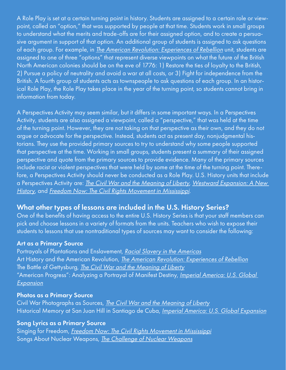A Role Play is set at a certain turning point in history. Students are assigned to a certain role or viewpoint, called an "option," that was supported by people at that time. Students work in small groups to understand what the merits and trade-offs are for their assigned option, and to create a persuasive argument in support of that option. An additional group of students is assigned to ask questions of each group. For example, in *[The American Revolution: Experiences of Rebellion](https://www.choices.edu/curriculum-unit/american-revolution-experiences-rebellion/)* unit, students are assigned to one of three "options" that represent diverse viewpoints on what the future of the British North American colonies should be on the eve of 1776: 1) Restore the ties of loyalty to the British, 2) Pursue a policy of neutrality and avoid a war at all costs, or 3) Fight for independence from the British. A fourth group of students acts as townspeople to ask questions of each group. In an historical Role Play, the Role Play takes place in the year of the turning point, so students cannot bring in information from today.

A Perspectives Activity may seem similar, but it differs in some important ways. In a Perspectives Activity, students are also assigned a viewpoint, called a "perspective," that was held at the time of the turning point. However, they are not taking on that perspective as their own, and they do not argue or advocate for the perspective. Instead, students act as present day, nonjudgmental historians. They use the provided primary sources to try to understand why some people supported that perspective at the time. Working in small groups, students present a summary of their assigned perspective and quote from the primary sources to provide evidence. Many of the primary sources include racist or violent perspectives that were held by some at the time of the turning point. Therefore, a Perspectives Activity should never be conducted as a Role Play. U.S. History units that include a Perspectives Activity are: *[The Civil War and the Meaning of Liberty](https://www.choices.edu/curriculum-unit/the-civil-war-and-the-meaning-of-liberty/), Westward Expansion: A New* [History](https://www.choices.edu/curriculum-unit/westward-expansion-new-history/), and [Freedom Now: The Civil Rights Movement in Mississippi](https://www.choices.edu/curriculum-unit/freedom-now-civil-rights-movement-mississippi/).

# What other types of lessons are included in the U.S. History Series?

One of the benefits of having access to the entire U.S. History Series is that your staff members can pick and choose lessons in a variety of formats from the units. Teachers who wish to expose their students to lessons that use nontraditional types of sources may want to consider the following:

#### Art as a Primary Source

Portrayals of Plantations and Enslavement, [Racial Slavery in the Americas](https://www.choices.edu/curriculum-unit/racial-slavery-in-the-americas/) Art History and the American Revolution, *[The American Revolution: Experiences of Rebellion](https://www.choices.edu/curriculum-unit/american-revolution-experiences-rebellion/)* The Battle of Gettysburg, [The Civil War and the Meaning of Liberty](https://www.choices.edu/curriculum-unit/the-civil-war-and-the-meaning-of-liberty/) "American Progress": Analyzing a Portrayal of Manifest Destiny, Imperial America: U.S. Global [Expansion](https://www.choices.edu/curriculum-unit/imperial-america-us-global-expansion/)

#### Photos as a Primary Source

Civil War Photographs as Sources, *[The Civil War and the Meaning of Liberty](https://www.choices.edu/curriculum-unit/the-civil-war-and-the-meaning-of-liberty/)* Historical Memory at San Juan Hill in Santiago de Cuba, *[Imperial America: U.S. Global Expansion](https://www.choices.edu/curriculum-unit/imperial-america-us-global-expansion/)* 

#### Song Lyrics as a Primary Source

Singing for Freedom, [Freedom Now: The Civil Rights Movement in Mississippi](https://www.choices.edu/curriculum-unit/freedom-now-civil-rights-movement-mississippi/) Songs About Nuclear Weapons, [The Challenge of Nuclear Weapons](https://www.choices.edu/curriculum-unit/challenge-nuclear-weapons/)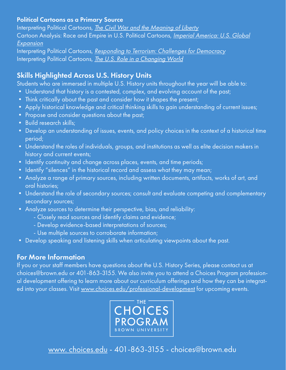#### Political Cartoons as a Primary Source

Interpreting Political Cartoons, *[The Civil War and the Meaning of Liberty](https://www.choices.edu/curriculum-unit/the-civil-war-and-the-meaning-of-liberty/)* Cartoon Analysis: Race and Empire in U.S. Political Cartoons, *[Imperial America: U.S. Global](https://www.choices.edu/curriculum-unit/imperial-america-us-global-expansion/)* [Expansion](https://www.choices.edu/curriculum-unit/imperial-america-us-global-expansion/)

Interpreting Political Cartoons, [Responding to Terrorism: Challenges for Democracy](https://www.choices.edu/curriculum-unit/responding-terrorism-challenges-democracy/) Interpreting Political Cartoons, *[The U.S. Role in a Changing World](https://www.choices.edu/curriculum-unit/u-s-role-changing-world/)* 

# Skills Highlighted Across U.S. History Units

Students who are immersed in multiple U.S. History units throughout the year will be able to:

- Understand that history is a contested, complex, and evolving account of the past;
- Think critically about the past and consider how it shapes the present;
- Apply historical knowledge and critical thinking skills to gain understanding of current issues;
- Propose and consider questions about the past;
- Build research skills;
- Develop an understanding of issues, events, and policy choices in the context of a historical time period;
- Understand the roles of individuals, groups, and institutions as well as elite decision makers in history and current events;
- Identify continuity and change across places, events, and time periods;
- Identify "silences" in the historical record and assess what they may mean;
- Analyze a range of primary sources, including written documents, artifacts, works of art, and oral histories;
- Understand the role of secondary sources; consult and evaluate competing and complementary secondary sources;
- Analyze sources to determine their perspective, bias, and reliability:
	- Closely read sources and identify claims and evidence;
	- Develop evidence-based interpretations of sources;
	- Use multiple sources to corroborate information;
- Develop speaking and listening skills when articulating viewpoints about the past.

# For More Information

If you or your staff members have questions about the U.S. History Series, please contact us at choices@brown.edu or 401-863-3155. We also invite you to attend a Choices Program professional development offering to learn more about our curriculum offerings and how they can be integrated into your classes. Visit [www.choices.edu/professional-development](https://www.choices.edu/professional-development/) for upcoming events.



[www. choices.edu -](https://www.choices.edu/) 401-863-3155 - choices@brown.edu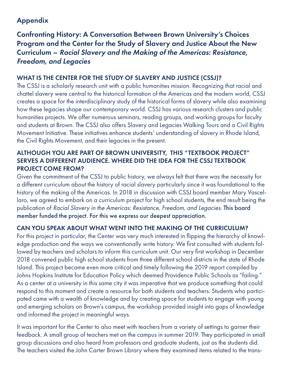# Appendix

Confronting History: A Conversation Between Brown University's Choices Program and the Center for the Study of Slavery and Justice About the New Curriculum – Racial Slavery and the Making of the Americas: Resistance, Freedom, and Legacies

# WHAT IS THE CENTER FOR THE STUDY OF SLAVERY AND JUSTICE (CSSJ)?

The CSSJ is a scholarly research unit with a public humanities mission. Recognizing that racial and chattel slavery were central to the historical formation of the Americas and the modern world, CSSJ creates a space for the interdisciplinary study of the historical forms of slavery while also examining how these legacies shape our contemporary world. CSSJ has various research clusters and public humanities projects. We offer numerous seminars, reading groups, and working groups for faculty and students at Brown. The CSSJ also offers Slavery and Legacies Walking Tours and a Civil Rights Movement Initiative. These initiatives enhance students' understanding of slavery in Rhode Island, the Civil Rights Movement, and their legacies in the present.

## ALTHOUGH YOU ARE PART OF BROWN UNIVERSITY, THIS "TEXTBOOK PROJECT" SERVES A DIFFERENT AUDIENCE. WHERE DID THE IDEA FOR THE CSSJ TEXTBOOK PROJECT COME FROM?

Given the commitment of the CSSJ to public history, we always felt that there was the necessity for a different curriculum about the history of racial slavery particularly since it was foundational to the history of the making of the Americas. In 2018 in discussion with CSSJ board member Mary Vascellaro, we agreed to embark on a curriculum project for high school students, the end result being the publication of Racial Slavery in the Americas: Resistance, Freedom, and Legacies. This board member funded the project. For this we express our deepest appreciation.

# CAN YOU SPEAK ABOUT WHAT WENT INTO THE MAKING OF THE CURRICULUM?

For this project in particular, the Center was very much interested in flipping the hierarchy of knowledge production and the ways we conventionally write history. We first consulted with students followed by teachers and scholars to inform this curriculum unit. Our very first workshop in December 2018 convened public high school students from three different school districts in the state of Rhode Island. This project became even more critical and timely following the 2019 report compiled by Johns Hopkins Institute for Education Policy which deemed Providence Public Schools as "failing." As a center at a university in this same city it was imperative that we produce something that could respond to this moment and create a resource for both students and teachers. Students who participated came with a wealth of knowledge and by creating space for students to engage with young and emerging scholars on Brown's campus, the workshop provided insight into gaps of knowledge and informed the project in meaningful ways.

It was important for the Center to also meet with teachers from a variety of settings to garner their feedback. A small group of teachers met on the campus in summer 2019. They participated in small group discussions and also heard from professors and graduate students, just as the students did. The teachers visited the John Carter Brown Library where they examined items related to the trans-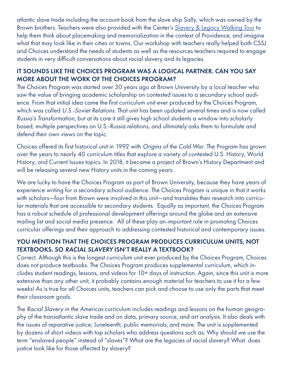atlantic slave trade including the account book from the slave ship Sally, which was owned by the Brown brothers. Teachers were also provided with the Center's Slavery & Legacy Walking Tour to help them think about placemaking and memorialization in the context of Providence, and imagine what that may look like in their cities or towns. Our workshop with teachers really helped both CSSJ and Choices understand the needs of students as well as the resources teachers required to engage students in very difficult conversations about racial slavery and its legacies.

## IT SOUNDS LIKE THE CHOICES PROGRAM WAS A LOGICAL PARTNER. CAN YOU SAY MORE ABOUT THE WORK OF THE CHOICES PROGRAM?

The Choices Program was started over 30 years ago at Brown University by a local teacher who saw the value of bringing academic scholarship on contested issues to a secondary school audience. From that initial idea came the first curriculum unit ever produced by the Choices Program, which was called U.S.-Soviet Relations. That unit has been updated several times and is now called Russia's Transformation, but at its core it still gives high school students a window into scholarly based, multiple perspectives on U.S.-Russia relations, and ultimately asks them to formulate and defend their own views on the topic.

Choices offered its first historical unit in 1992 with Origins of the Cold War. The Program has grown over the years to nearly 40 curriculum titles that explore a variety of contested U.S. History, World History, and Current Issues topics. In 2018, it became a project of Brown's History Department and will be releasing several new History units in the coming years.

We are lucky to have the Choices Program as part of Brown University, because they have years of experience writing for a secondary school audience. The Choices Program is unique in that it works with scholars—four from Brown were involved in this unit—and translates their research into curricular materials that are accessible to secondary students. Equally as important, the Choices Program has a robust schedule of professional development offerings around the globe and an extensive mailing list and social media presence. All of these play an important role in promoting Choices curricular offerings and their approach to addressing contested historical and contemporary issues.

## YOU MENTION THAT THE CHOICES PROGRAM PRODUCES CURRICULUM UNITS, NOT TEXTBOOKS. SO RACIAL SLAVERY ISN'T REALLY A TEXTBOOK?

Correct. Although this is the longest curriculum unit ever produced by the Choices Program, Choices does not produce textbooks. The Choices Program produces supplemental curriculum, which includes student readings, lessons, and videos for 10+ days of instruction. Again, since this unit is more extensive than any other unit, it probably contains enough material for teachers to use it for a few weeks! As is true for all Choices units, teachers can pick and choose to use only the parts that meet their classroom goals.

The Racial Slavery in the Americas curriculum includes readings and lessons on the human geography of the transatlantic slave trade and on data, primary source, and art analysis. It also deals with the issues of reparative justice; Juneteenth; public memorials; and more. The unit is supplemented by dozens of short videos with top scholars who address questions such as: Why should we use the term "enslaved people" instead of "slaves"? What are the legacies of racial slavery? What does justice look like for those affected by slavery?